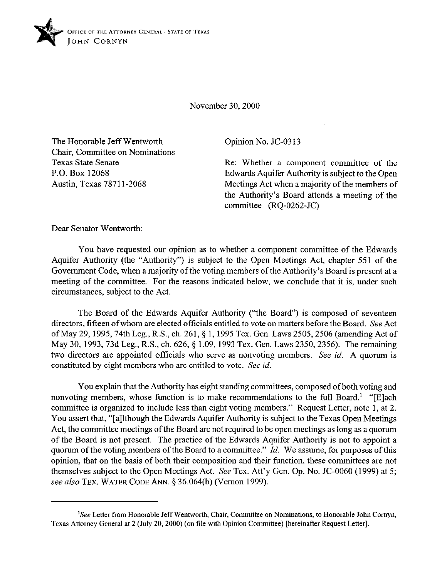

November 30,200O

The Honorable Jeff Wentworth Chair, Committee on Nominations Texas State Senate P.O. Box 12068 Austin, Texas 78711-2068

Opinion No. JC-03 13

Re: Whether a component committee of the Edwards Aquifer Authority is subject to the Qpen Meetings Act when a majority of the members of the Authority's Board attends a meeting of the committee  $(RQ-0262-JC)$ 

Dear Senator Wentworth:

You have requested our opinion as to whether a component committee of the Edwards Aquifer Authority (the "Authority") is subject to the Open Meetings Act, chapter 551 of the Government Code, when a majority of the voting members of the Authority's Board is present at a meeting of the committee. For the reasons indicated below, we conclude that it is, under such circumstances, subject to the Act.

The Board of the Edwards Aquifer Authority ("the Board") is composed of seventeen directors, fifteen of whom are elected officials entitled to vote on matters before the Board. See Act of May 29,1995,74th Leg., R.S., ch. 261, § 1,1995 Tex. Gen. Laws 2505,2506 (amending Act of May 30, 1993, 73d Leg., R.S., ch. 626, § 1.09, 1993 Tex. Gen. Laws 2350, 2356). The remaining two directors are appointed officials who serve as nonvoting members, See id. A quorum is constituted by eight members who are entitled to vote. See *id.* 

You explain that the Authority has eight standing committees, composed of both voting and nonvoting members, whose function is to make recommendations to the full Board.<sup>1</sup> "[E]ach committee is organized to include less than eight voting members." Request Letter, note 1, at 2. You assert that, "[a]lthough the Edwards Aquifer Authority is subject to the Texas Qpen Meetings Act, the committee meetings of the Board are not required to be open meetings as long as a quorum of the Board is not present. The practice of the Edwards Aquifer Authority is not to appoint a quorum of the voting members of the Board to a committee." *Id.* We assume, for purposes of this opinion, that on the basis of both their composition and their function, these committees are not themselves subject to the Qpen Meetings Act. See Tex. Att'y Gen. Op. No. JC-0060 (1999) at 5; see also TEX. WATER CODE ANN. § 36.064(b) (Vernon 1999).

<sup>&#</sup>x27;See Letter from Honorable Jeff Wentworth, Chair, Committee on Nominations, to Honorable John Comyn, Texas Attorney General at 2 (July 20,200O) (on tile with Opinion Committee) [hereinafter Request Letter].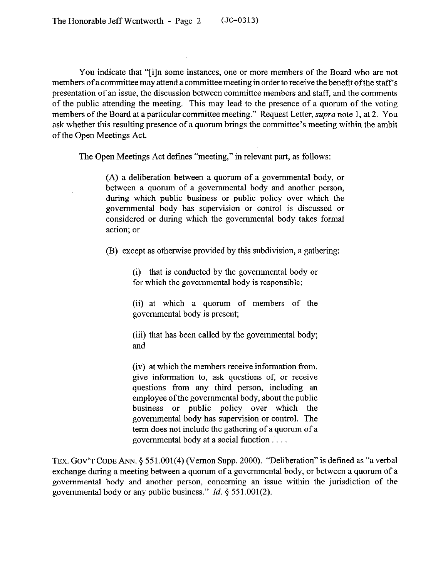You indicate that "[i]n some instances, one or more members of the Board who are not members of a committee may attend a committee meeting in order to receive the benefit of the staff's presentation of an issue, the discussion between committee members and staff, and the comments of the public attending the meeting. This may lead to the presence of a quorum of the voting members of the Board at a particular committee meeting." Request Letter, *supra* note 1, at 2. You ask whether this resulting presence of a quorum brings the committee's meeting within the ambit of the Open Meetings Act.

The Open Meetings Act defines "meeting," in relevant part, as follows:

(A) a deliberation between a quorum of a governmental body, or between a quorum of a governmental body and another person, during which public business or public policy over which the governmental body has supervision or control is discussed or considered or during which the governmental body takes formal action; or

(B) except as otherwise provided by this subdivision, a gathering:

(i) that is conducted by the governmental body or for which the governmental body is responsible;

(ii) at which a quorum of members of the governmental body is present;

(iii) that has been called by the governmental body; and

(iv) at which the members receive information from, give information to, ask questions of, or receive questions from any third person, including an employee of the governmental body, about the public business or public policy over which the governmental body has supervision or control. The term does not include the gathering of a quorum of a governmental body at a social function.

TEX. GOV'T CODE ANN. § 551.001(4) (Vernon Supp. 2000). "Deliberation" is defined as "a verbal exchange during a meeting between a quorum of a governmental body, or between a quorum of a governmental body and another person, concerning an issue within the jurisdiction of the governmental body or any public business." *Id. 5 551.001(2).*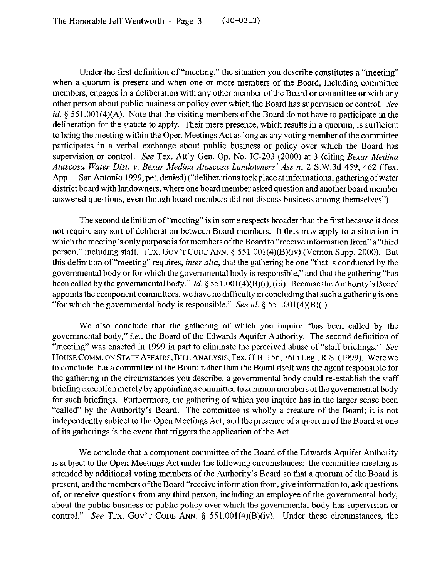Under the first definition of "meeting," the situation you describe constitutes a "meeting" when a quorum is present and when one or more members of the Board, including committee members, engages in a deliberation with any other member of the Board or committee or with any other person about public business or policy over which the Board has supervision or control. See *id.* § 551.001(4)(A). Note that the visiting members of the Board do not have to participate in the deliberation for the statute to apply. Their mere presence, which results in a quorum, is sufficient to bring the meeting within the Open Meetings Act as long as any voting member of the committee participates in a verbal exchange about public business or policy over which the Board has supervision or control. See Tex. Att'y Gen. Op. No. JC-203 (2000) at 3 (citing *Bexar Medina Atascosa Water Dist. v. Bexar Medina Atascosa Landowners' Ass'n, 2* S.W.3d 459, 462 (Tex. App.—San Antonio 1999, pet. denied) ("deliberations took place at informational gathering of water district board with landowners, where one board member asked question and another board member answered questions, even though board members did not discuss business among themselves").

The second definition of "meeting" is in some respects broader than the first because it does not require any sort of deliberation between Board members. It thus may apply to a situation in which the meeting's only purpose is for members of the Board to "receive information from" a "third person," including staff. TEX. GOV'T CODE ANN. § 551.001(4)(B)(iv) (Vernon Supp. 2000). But this definition of "meeting" requires, *inter alia,* that the gathering be one "that is conducted by the governmental body or for which the governmental body is responsible," and that the gathering "has been called by the governmental body." *Id.* 5 551.001(4)(B)(i), (iii). Because the Authority's Board appoints the component committees, we have no difficulty in concluding that such a gathering is one "for which the governmental body is responsible." See *id.*  $\S$  551.001(4)(B)(i).

We also conclude that the gathering of which you inquire "has been called by the governmental body," *i.e.,* the Board of the Edwards Aquifer Authority. The second definition of "meeting" was enacted in 1999 in part to eliminate the perceived abuse of "staff briefings." See HOUSE COMM. ON STATE AFFAIRS, BILL ANALYSIS, Tex. H.B. 156, 76th Leg., R.S. (1999). Were we to conclude that a committee of the Board rather than the Board itself was the agent responsible for the gathering in the circumstances you describe, a governmental body could re-establish the staff briefing exception merely by appointing a committee to summon members ofthe governmental body for such briefings. Furthermore, the gathering of which you inquire has in the larger sense been "called" by the Authority's Board. The committee is wholly a creature of the Board; it is not independently subject to the Open Meetings Act; and the presence of a quorum of the Board at one of its gatherings is the event that triggers the application of the Act.

We conclude that a component committee of the Board of the Edwards Aquifer Authority is subject to the Open Meetings Act under the following circumstances: the committee meeting is attended by additional voting members of the Authority's Board so that a quorum of the Board is present, and the members of the Board "receive information from, give information to, ask questions of, or receive questions from any third person, including an employee of the governmental body, about the public business or public policy over which the governmental body has supervision or control." See TEX. GOV'T CODE ANN. § 551,001(4)(B)(iv). Under these circumstances, the